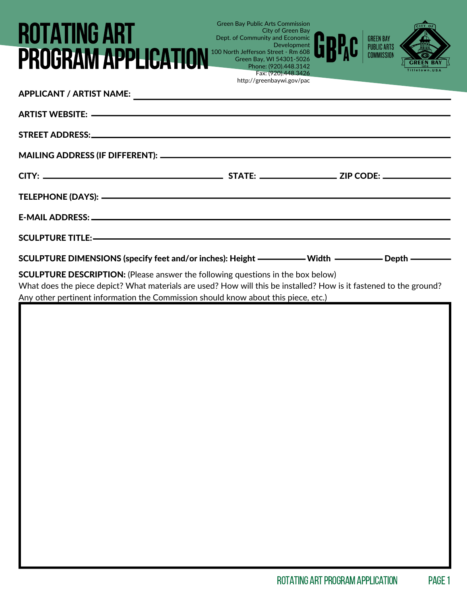## Green Bay Public Arts Commission Dept. of Community and Economic 100 North Jefferson Street - Rm 608 ROTATING ART PROGRAM APPLICATION

| SCULPTURE DIMENSIONS (specify feet and/or inches): Height ——————— Width ——————— Depth —————                                                                                                                                                                                                                |  |
|------------------------------------------------------------------------------------------------------------------------------------------------------------------------------------------------------------------------------------------------------------------------------------------------------------|--|
| <b>SCULPTURE DESCRIPTION:</b> (Please answer the following questions in the box below)<br>What does the piece depict? What materials are used? How will this be installed? How is it fastened to the ground?<br>Any other p <u>ertinent information the Commission should know about this piece, etc.)</u> |  |
|                                                                                                                                                                                                                                                                                                            |  |
|                                                                                                                                                                                                                                                                                                            |  |
|                                                                                                                                                                                                                                                                                                            |  |
|                                                                                                                                                                                                                                                                                                            |  |
|                                                                                                                                                                                                                                                                                                            |  |
|                                                                                                                                                                                                                                                                                                            |  |

City of Green Bay

Green Bay, WI 54301-5026 Phone: (920).448.3142 Fax: (920).448.3426 http://greenbaywi.gov/pac

Development

 $GITY$ 

**GI** 

GREEN BAY<br>PUBLIC ARTS<br>COMMISSION

GRP.c